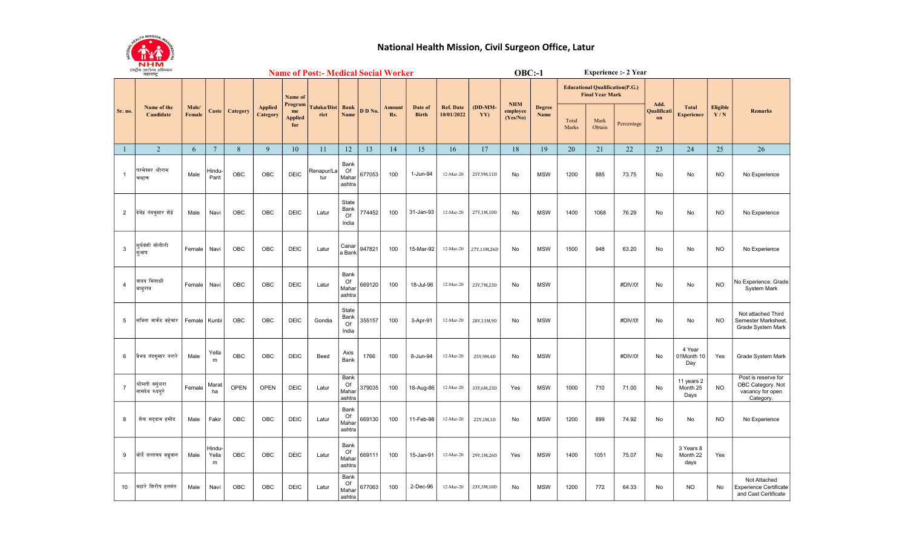

## National Health Mission, Civil Surgeon Office, Latur

|                 | राष्ट्राय आराज्य आभयान<br>महाराष्ट्र |                 |                             |             |                                   |                             |                            |                               | <b>Name of Post:- Medical Social Worker</b> |               |                         |                                | $OBC: -1$        |                      |                       |                |                                                                  | <b>Experience :- 2 Year</b> |                   |                                   |                        |                                                                           |
|-----------------|--------------------------------------|-----------------|-----------------------------|-------------|-----------------------------------|-----------------------------|----------------------------|-------------------------------|---------------------------------------------|---------------|-------------------------|--------------------------------|------------------|----------------------|-----------------------|----------------|------------------------------------------------------------------|-----------------------------|-------------------|-----------------------------------|------------------------|---------------------------------------------------------------------------|
|                 | Name of the<br>Candidate             |                 |                             |             |                                   | Name of<br>Program          |                            |                               |                                             |               |                         | <b>Ref. Date</b><br>10/01/2022 | $(DD-MM-$<br>YY) | $NHM$                |                       |                | <b>Educational Qualification(P.G.)</b><br><b>Final Year Mark</b> |                             | Add.              |                                   |                        |                                                                           |
| Sr. no.         |                                      | Male/<br>Female | Caste                       | Category    | <b>Applied</b><br><b>Category</b> | me<br><b>Applied</b><br>for | <b>Taluka/Dist</b><br>rict | <b>Bank</b><br>Name           | D D No.                                     | Amount<br>Rs. | Date of<br><b>Birth</b> |                                |                  | employee<br>(Yes/No) | <b>Degree</b><br>Name | Total<br>Marks | Mark<br>Obtain                                                   | Percentage                  | Qualificati<br>on | <b>Total</b><br><b>Experience</b> | <b>Eligible</b><br>Y/N | <b>Remarks</b>                                                            |
| $\mathbf{1}$    | $\overline{2}$                       | 6               | $7\phantom{.0}$             | 8           | 9                                 | 10                          | 11                         | 12                            | 13                                          | 14            | 15                      | 16                             | 17               | 18                   | 19                    | 20             | 21                                                               | 22                          | 23                | 24                                | 25                     | 26                                                                        |
| $\overline{1}$  | परमेश्वर श्रीराम<br>चव्हाण           | Male            | Hindu-<br>Parit             | OBC         | OBC                               | <b>DEIC</b>                 | Renapur/La<br>tur          | Bank<br>Of<br>Mahar<br>ashtra | 677053                                      | 100           | 1-Jun-94                | 12-Mar-20                      | 25Y, 9M, 11D     | No                   | <b>MSW</b>            | 1200           | 885                                                              | 73.75                       | No                | No                                | <b>NO</b>              | No Experience                                                             |
| $\overline{2}$  | दिवेंद्र नंदकुमार ग्रेंद्रे          | Male            | Navi                        | OBC         | OBC                               | <b>DEIC</b>                 | Latur                      | State<br>Bank<br>Of<br>India  | 774452                                      | 100           | 31-Jan-93               | 12-Mar-20                      | 27Y,1M,10D       | No                   | <b>MSW</b>            | 1400           | 1068                                                             | 76.29                       | No                | No                                | NO.                    | No Experience                                                             |
| 3               | सर्यवंशी सोनीली<br>सभाष              | Female          | Navi                        | OBC         | OBC                               | <b>DEIC</b>                 | Latur                      | Canar<br>a Bank               | 947821                                      | 100           | 15-Mar-92               | 12-Mar-20                      | 27Y,11M,26D      | No                   | <b>MSW</b>            | 1500           | 948                                                              | 63.20                       | No                | <b>No</b>                         | <b>NO</b>              | No Experience                                                             |
| $\overline{4}$  | यादव मिनाक्षी<br>बाबुराव             | Female          | Navi                        | OBC         | OBC                               | <b>DEIC</b>                 | Latur                      | Bank<br>Of<br>Mahar<br>ashtra | 669120                                      | 100           | 18-Jul-96               | 12-Mar-20                      | 23Y, 7M, 23D     | No                   | <b>MSW</b>            |                |                                                                  | #DIV/0!                     | No                | No                                | <b>NO</b>              | No Experience. Grade<br>System Mark                                       |
| 5               | सविता मार्कंड बहेकार                 | Female          | Kunbi                       | OBC         | OBC                               | <b>DEIC</b>                 | Gondia                     | State<br>Bank<br>Of<br>India  | 355157                                      | 100           | 3-Apr-91                | 12-Mar-20                      | 28Y,11M,9D       | No                   | <b>MSW</b>            |                |                                                                  | #DIV/0!                     | No                | No                                | <b>NO</b>              | Not attached Third<br>Semester Marksheet<br>Grade System Mark             |
| 6               | वैभव नंदकमार नरारे                   | Male            | Yella<br>m                  | OBC         | OBC                               | <b>DEIC</b>                 | Beed                       | Axis<br>Bank                  | 1766                                        | 100           | 8-Jun-94                | 12-Mar-20                      | 25Y, 9M, 4D      | No                   | <b>MSW</b>            |                |                                                                  | #DIV/0!                     | No                | 4 Year<br>01Month 10<br>Day       | Yes                    | Grade System Mark                                                         |
| $\overline{7}$  | श्रीमती वसंधरा<br>नामदेव रुदनूरे     | Female          | Marat<br>ha                 | <b>OPEN</b> | <b>OPEN</b>                       | <b>DEIC</b>                 | Latur                      | Bank<br>Of<br>Mahar<br>ashtra | 379035                                      | 100           | 18-Aug-86               | 12-Mar-20                      | 33Y,6M,23D       | Yes                  | <b>MSW</b>            | 1000           | 710                                                              | 71.00                       | No                | 11 years 2<br>Month 25<br>Days    | <b>NO</b>              | Post is reserve for<br>OBC Category. Not<br>vacancy for open<br>Category. |
| 8               | शेख सददाम हमीद                       | Male            | Fakir                       | OBC         | OBC                               | <b>DEIC</b>                 | Latur                      | Bank<br>Of<br>Mahar<br>ashtra | 669130                                      | 100           | 11-Feb-98               | 12-Mar-20                      | 22Y, 1M, 1D      | No                   | <b>MSW</b>            | 1200           | 899                                                              | 74.92                       | No                | No                                | <b>NO</b>              | No Experience                                                             |
| 9               | बोर्डे दत्तात्रय बब्रुवान            | Male            | <b>Hindu-</b><br>Yella<br>m | <b>OBC</b>  | <b>OBC</b>                        | <b>DEIC</b>                 | Latur                      | Bank<br>Of<br>Mahar<br>ashtra | 669111                                      | 100           | 15-Jan-91               | 12-Mar-20                      | 29Y,1M,26D       | Yes                  | <b>MSW</b>            | 1400           | 1051                                                             | 75.07                       | No                | 3 Years 8<br>Month 22<br>days     | Yes                    |                                                                           |
| 10 <sup>°</sup> | कठारे शिरीष हनमंत                    | Male            | Navi                        | <b>OBC</b>  | <b>OBC</b>                        | <b>DEIC</b>                 | Latur                      | Bank<br>Of<br>Mahar<br>ashtra | 677063                                      | 100           | 2-Dec-96                | 12-Mar-20                      | 23Y, 3M, 10D     | No                   | <b>MSW</b>            | 1200           | 772                                                              | 64.33                       | No                | <b>NO</b>                         | No                     | Not Attached<br><b>Experience Certificate</b><br>and Cast Certificate     |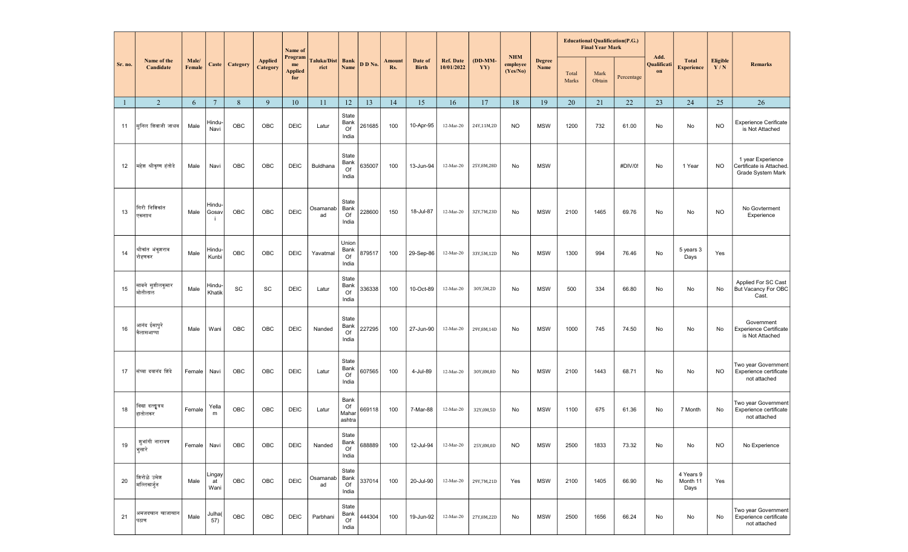|         |                             |                 |                      |            |                            | Name of                                |                           | <b>Educational Qualification(P.G.)</b><br><b>Final Year Mark</b><br><b>NHM</b> |         |               |                         |                                |                |                      |                       |                |                |            |                           |                                   |                        |                                                                    |
|---------|-----------------------------|-----------------|----------------------|------------|----------------------------|----------------------------------------|---------------------------|--------------------------------------------------------------------------------|---------|---------------|-------------------------|--------------------------------|----------------|----------------------|-----------------------|----------------|----------------|------------|---------------------------|-----------------------------------|------------------------|--------------------------------------------------------------------|
| Sr. no. | Name of the<br>Candidate    | Male/<br>Female | Caste                | Category   | <b>Applied</b><br>Category | Program<br>me<br><b>Applied</b><br>for | <b>Taluka/Dis</b><br>rict | <b>Bank</b><br>Name                                                            | D D No. | Amount<br>Rs. | Date of<br><b>Birth</b> | <b>Ref. Date</b><br>10/01/2022 | (DD-MM-<br>YY) | employee<br>(Yes/No) | <b>Degree</b><br>Name | Total<br>Marks | Mark<br>Obtain | Percentage | Add.<br>Qualificati<br>on | <b>Total</b><br><b>Experience</b> | <b>Eligible</b><br>Y/N | <b>Remarks</b>                                                     |
| -1      | 2                           | 6               | $7\overline{ }$      | 8          | 9                          | 10                                     | 11                        | 12                                                                             | 13      | 14            | 15                      | 16                             | 17             | 18                   | 19                    | 20             | 21             | 22         | 23                        | 24                                | 25                     | 26                                                                 |
| 11      | सुनिल शिवाजी जाधव           | Male            | -lindu-<br>Navi      | OBC        | OBC                        | <b>DEIC</b>                            | Latur                     | State<br>Bank<br>Of<br>India                                                   | 261685  | 100           | 10-Apr-95               | 12-Mar-20                      | 24Y,11M,2D     | <b>NO</b>            | <b>MSW</b>            | 1200           | 732            | 61.00      | No                        | No                                | <b>NO</b>              | <b>Experience Cerificate</b><br>is Not Attached                    |
| 12      | महेश श्रीकृष्ण हंतोडे       | Male            | Navi                 | OBC        | OBC                        | <b>DEIC</b>                            | Buldhana                  | State<br>Bank<br>Of<br>India                                                   | 635007  | 100           | 13-Jun-94               | 12-Mar-20                      | 25Y,8M,28D     | No                   | <b>MSW</b>            |                |                | #DIV/0!    | No                        | 1 Year                            | <b>NO</b>              | 1 year Experience<br>Certificate is Attached.<br>Grade System Mark |
| 13      | गिरी निशिकांत<br>एकनााथ     | Male            | Hindu-<br>Gosav      | OBC        | OBC                        | <b>DEIC</b>                            | Osamanab<br>ad            | State<br>Bank<br>Of<br>India                                                   | 228600  | 150           | 18-Jul-87               | 12-Mar-20                      | 32Y,7M,23D     | No                   | <b>MSW</b>            | 2100           | 1465           | 69.76      | No                        | No                                | <b>NO</b>              | No Govterment<br>Experience                                        |
| 14      | श्रीकांत अंकृशराव<br>रोहणकर | Male            | Hindu-<br>Kunbi      | OBC        | OBC                        | <b>DEIC</b>                            | Yavatmal                  | Union<br>Bank<br>Of<br>India                                                   | 879517  | 100           | 29-Sep-86               | 12-Mar-20                      | 33Y,5M,12D     | No                   | <b>MSW</b>            | 1300           | 994            | 76.46      | No                        | 5 years 3<br>Days                 | Yes                    |                                                                    |
| 15      | साबने सुशीलकमार<br>मोतीलाल  | Male            | Hindu-<br>Khatik     | SC         | SC                         | <b>DEIC</b>                            | Latur                     | State<br>Bank<br>Of<br>India                                                   | 336338  | 100           | 10-Oct-89               | 12-Mar-20                      | 30Y,5M,2D      | No                   | <b>MSW</b>            | 500            | 334            | 66.80      | No                        | No                                | No                     | Applied For SC Cast<br>But Vacancy For OBC<br>Cast.                |
| 16      | आनंद ईसापूरे<br>कैलासआप्पा  | Male            | Wani                 | OBC        | OBC                        | <b>DEIC</b>                            | Nanded                    | State<br>Bank<br>Of<br>India                                                   | 227295  | 100           | 27-Jun-90               | 12-Mar-20                      | 29Y, 8M, 14D   | No                   | <b>MSW</b>            | 1000           | 745            | 74.50      | No                        | No                                | No                     | Government<br><b>Experience Certificate</b><br>is Not Attached     |
| 17      | संघ्या दयानंद शिंदे         | Female          | Navi                 | <b>OBC</b> | OBC                        | <b>DEIC</b>                            | Latur                     | State<br>Bank<br>Of<br>India                                                   | 607565  | 100           | 4-Jul-89                | 12-Mar-20                      | 30Y,8M,8D      | No                   | <b>MSW</b>            | 2100           | 1443           | 68.71      | No                        | No                                | <b>NO</b>              | Two year Government<br>Experience certificate<br>not attached      |
| 18      | विद्यादत्तात्रय<br>हातोलकर  | Female          | Yella<br>m           | OBC        | OBC                        | <b>DEIC</b>                            | Latur                     | Bank<br>Of<br>Mahar<br>ashtra                                                  | 669118  | 100           | 7-Mar-88                | 12-Mar-20                      | 32Y,0M,5D      | No                   | <b>MSW</b>            | 1100           | 675            | 61.36      | No                        | 7 Month                           | No                     | Two year Government<br>Experience certificate<br>not attached      |
| 19      | जुभांगी नारायण<br>शिुसारे   | Female          | Navi                 | OBC        | OBC                        | <b>DEIC</b>                            | Nanded                    | State<br>Bank<br>Of<br>India                                                   | 688889  | 100           | 12-Jul-94               | $12-Mar-20$                    | 25Y,8M,0D      | <b>NO</b>            | <b>MSW</b>            | 2500           | 1833           | 73.32      | No                        | No                                | <b>NO</b>              | No Experience                                                      |
| 20      | शिरोळे उमेश<br>मल्लिकार्जुन | Male            | Lingay<br>at<br>Wani | OBC        | OBC                        | <b>DEIC</b>                            | Osamanab<br>ad            | State<br>Bank<br>Of<br>India                                                   | 337014  | 100           | 20-Jul-90               | $12-Mar-20$                    | 29Y,7M,21D     | Yes                  | <b>MSW</b>            | 2100           | 1405           | 66.90      | No                        | 4 Years 9<br>Month 11<br>Days     | Yes                    |                                                                    |
| 21      | अमजदखान खाजाखान<br>पठाण     | Male            | Julha(<br>57)        | OBC        | OBC                        | <b>DEIC</b>                            | Parbhani                  | State<br>Bank<br>Of<br>India                                                   | 444304  | 100           | 19-Jun-92               | $12-Mar-20$                    | 27Y,8M,22D     | No                   | <b>MSW</b>            | 2500           | 1656           | 66.24      | No                        | No                                | No                     | Two year Government<br>Experience certificate<br>not attached      |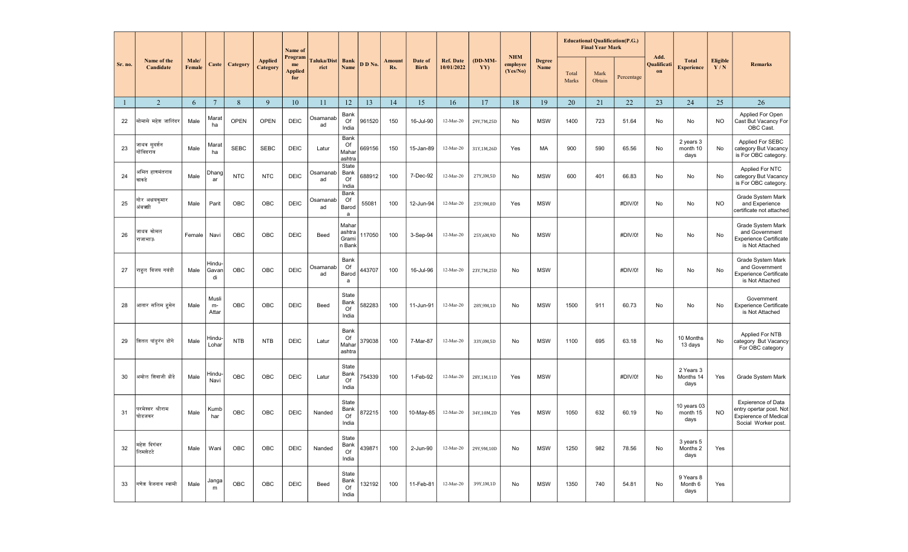|              | Name of the<br>Candidate    |                 |                        |             |                            | Name of                                |                           |                                    |         | <b>Amount</b><br>Rs. | Date of<br><b>Birth</b> | <b>Ref. Date</b><br>10/01/2022 | $(DD-MM-$<br>YY) |                                    |                       |                | <b>Educational Qualification(P.G.)</b><br><b>Final Year Mark</b> |            |                           |                                   |                 |                                                                                                             |
|--------------|-----------------------------|-----------------|------------------------|-------------|----------------------------|----------------------------------------|---------------------------|------------------------------------|---------|----------------------|-------------------------|--------------------------------|------------------|------------------------------------|-----------------------|----------------|------------------------------------------------------------------|------------|---------------------------|-----------------------------------|-----------------|-------------------------------------------------------------------------------------------------------------|
| Sr. no.      |                             | Male/<br>Female | Caste                  | Category    | <b>Applied</b><br>Category | Program<br>me<br><b>Applied</b><br>for | <b>Taluka/Dis</b><br>rict | <b>Bank</b><br><b>Name</b>         | D D No. |                      |                         |                                |                  | <b>NHM</b><br>employee<br>(Yes/No) | <b>Degree</b><br>Name | Total<br>Marks | Mark<br>Obtain                                                   | Percentage | Add.<br>Qualificati<br>on | <b>Total</b><br><b>Experience</b> | Eligible<br>Y/N | Remarks                                                                                                     |
| $\mathbf{1}$ | 2                           | 6               | $7\phantom{.0}$        | 8           | 9                          | 10                                     | 11                        | 12                                 | 13      | 14                   | 15                      | 16                             | 17               | 18                                 | 19                    | 20             | 21                                                               | 22         | 23                        | 24                                | 25              | 26                                                                                                          |
| 22           | सोमासे महेश जालिंदर         | Male            | Marat<br>ha            | <b>OPEN</b> | <b>OPEN</b>                | <b>DEIC</b>                            | Osamanab<br>ad            | Bank<br>Of<br>India                | 961520  | 150                  | 16-Jul-90               | 12-Mar-20                      | 29Y, 7M, 25D     | No                                 | <b>MSW</b>            | 1400           | 723                                                              | 51.64      | No                        | No                                | NO.             | Applied For Open<br>Cast But Vacancy For<br>OBC Cast.                                                       |
| 23           | जाधव सूदर्शन<br>गोंविदराव   | Male            | Marat<br>ha            | <b>SEBC</b> | <b>SEBC</b>                | <b>DEIC</b>                            | Latur                     | Bank<br>Of<br>Mahai<br>ashtra      | 669156  | 150                  | 15-Jan-89               | 12-Mar-20                      | 31Y,1M,26D       | Yes                                | МA                    | 900            | 590                                                              | 65.56      | No                        | 2 years 3<br>month 10<br>days     | No              | Applied For SEBC<br>category But Vacancy<br>is For OBC category.                                            |
| 24           | अमित हाणमंतराव<br>काकडे     | Male            | Dhang<br>ar            | <b>NTC</b>  | <b>NTC</b>                 | <b>DEIC</b>                            | Osamanab<br>ad            | State<br>Bank<br>Of<br>India       | 688912  | 100                  | 7-Dec-92                | 12-Mar-20                      | 27Y, 3M, 5D      | No                                 | <b>MSW</b>            | 600            | 401                                                              | 66.83      | No                        | No                                | No              | Applied For NTC<br>category But Vacancy<br>is For OBC category.                                             |
| 25           | गोर अक्षयकमार<br>अंबऋगी     | Male            | Parit                  | OBC         | <b>OBC</b>                 | <b>DEIC</b>                            | Osamanab<br>ad            | Bank<br>Of<br>Barod<br>a           | 55081   | 100                  | 12-Jun-94               | 12-Mar-20                      | 25Y, 9M, 0D      | Yes                                | <b>MSW</b>            |                |                                                                  | #DIV/0!    | No                        | No                                | <b>NO</b>       | Grade System Mark<br>and Experience<br>certificate not attached                                             |
| 26           | जाधव कोमल<br>राजाभाऊ        | Female          | Navi                   | OBC         | OBC                        | DEIC                                   | Beed                      | Mahar<br>ashtra<br>Grami<br>n Bank | 117050  | 100                  | 3-Sep-94                | 12-Mar-20                      | 25Y,6M,9D        | No                                 | <b>MSW</b>            |                |                                                                  | #DIV/0!    | No                        | No                                | No              | Grade System Mark<br>and Government<br><b>Experience Certificate</b><br>is Not Attached                     |
| 27           | राहुल विजय गवंडी            | Male            | Hindu-<br>Gavan<br>di  | OBC         | OBC                        | <b>DEIC</b>                            | Osamanab<br>ad            | Bank<br>Of<br>Barod<br>a           | 443707  | 100                  | 16-Jul-96               | 12-Mar-20                      | 23Y, 7M, 25D     | No                                 | <b>MSW</b>            |                |                                                                  | #DIV/0!    | No                        | No                                | No              | Grade System Mark<br>and Government<br><b>Experience Certificate</b><br>is Not Attached                     |
| 28           | आतार सलिम हसेन              | Male            | Musli<br>$m-$<br>Attar | <b>OBC</b>  | <b>OBC</b>                 | <b>DEIC</b>                            | Beed                      | State<br>Bank<br>Of<br>India       | 582283  | 100                  | 11-Jun-91               | 12-Mar-20                      | 28Y, 9M, 1D      | No                                 | <b>MSW</b>            | 1500           | 911                                                              | 60.73      | No                        | No                                | No              | Government<br><b>Experience Certificate</b><br>is Not Attached                                              |
| 29           | शितल पांडूरंग डोंगे         | Male            | -lindu-<br>Lohar       | <b>NTB</b>  | <b>NTB</b>                 | <b>DEIC</b>                            | Latur                     | Bank<br>Of<br>Mahar<br>ashtra      | 379038  | 100                  | 7-Mar-87                | 12-Mar-20                      | 33Y,0M,5D        | No                                 | <b>MSW</b>            | 1100           | 695                                                              | 63.18      | No                        | 10 Months<br>13 days              | No              | Applied For NTB<br>category But Vacancy<br>For OBC category                                                 |
| 30           | अमोल शिवाजी झेंडे           | Male            | Hindu-<br>Navi         | <b>OBC</b>  | OBC                        | <b>DEIC</b>                            | Latur                     | State<br>Bank<br>Of<br>India       | 754339  | 100                  | 1-Feb-92                | 12-Mar-20                      | 28Y, 1M, 11D     | Yes                                | <b>MSW</b>            |                |                                                                  | #DIV/0!    | No                        | 2 Years 3<br>Months 14<br>days    | Yes             | Grade System Mark                                                                                           |
| 31           | ग्रमेश्वर श्रीराम<br>घोडजकर | Male            | Kumb<br>har            | OBC         | OBC                        | <b>DEIC</b>                            | Nanded                    | State<br>Bank<br>Of<br>India       | 872215  | 100                  | 10-May-85               | 12-Mar-20                      | 34Y,10M,2D       | Yes                                | <b>MSW</b>            | 1050           | 632                                                              | 60.19      | No                        | 10 years 03<br>month 15<br>days   | <b>NO</b>       | <b>Expierence of Data</b><br>entry opertar post. Not<br><b>Expierence of Medical</b><br>Social Worker post. |
| 32           | महेश दिगंबर<br>लिमशेटटे     | Male            | Wani                   | OBC         | <b>OBC</b>                 | <b>DEIC</b>                            | Nanded                    | State<br>Bank<br>Of<br>India       | 439871  | 100                  | 2-Jun-90                | 12-Mar-20                      | 29Y, 9M, 10D     | No                                 | <b>MSW</b>            | 1250           | 982                                                              | 78.56      | No                        | 3 years 5<br>Months 2<br>days     | Yes             |                                                                                                             |
| 33           | गणेश वैजनाथ स्वामी          | Male            | Janga<br>m             | OBC         | OBC                        | <b>DEIC</b>                            | Beed                      | State<br>Bank<br>Of<br>India       | 132192  | 100                  | 11-Feb-81               | 12-Mar-20                      | 39Y,1M,1D        | No                                 | <b>MSW</b>            | 1350           | 740                                                              | 54.81      | No                        | 9 Years 8<br>Month 6<br>days      | Yes             |                                                                                                             |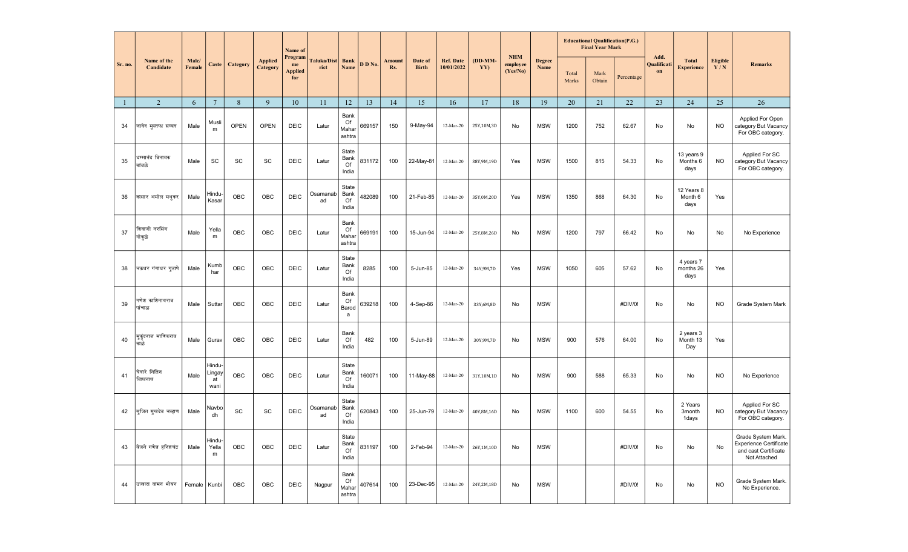|         |                            |                 |                                |             |                            | Name of                                |                           |                               |         |                      |                         | <b>Ref. Date</b><br>10/01/2022 | $(DD-MM-$<br>YY) |                               |                       |                | <b>Educational Qualification(P.G.)</b><br><b>Final Year Mark</b> |            |                           |                                   |                 |                                                                                             |
|---------|----------------------------|-----------------|--------------------------------|-------------|----------------------------|----------------------------------------|---------------------------|-------------------------------|---------|----------------------|-------------------------|--------------------------------|------------------|-------------------------------|-----------------------|----------------|------------------------------------------------------------------|------------|---------------------------|-----------------------------------|-----------------|---------------------------------------------------------------------------------------------|
| Sr. no. | Name of the<br>Candidate   | Male/<br>Female | Caste                          | Category    | <b>Applied</b><br>Category | Program<br>me<br><b>Applied</b><br>for | <b>Taluka/Dis</b><br>rict | <b>Bank</b><br>Name           | D D No. | <b>Amount</b><br>Rs. | Date of<br><b>Birth</b> |                                |                  | $NHM$<br>employee<br>(Yes/No) | <b>Degree</b><br>Name | Total<br>Marks | Mark<br>Obtain                                                   | Percentage | Add.<br>Qualificati<br>on | <b>Total</b><br><b>Experience</b> | Eligible<br>Y/N | <b>Remarks</b>                                                                              |
| -1      | 2                          | 6               | $7\phantom{.0}$                | 8           | 9                          | 10                                     | 11                        | 12                            | 13      | 14                   | 15                      | 16                             | 17               | 18                            | 19                    | 20             | 21                                                               | 22         | 23                        | 24                                | 25              | 26                                                                                          |
| 34      | जावेद मुस्तफा सय्यद        | Male            | Musli<br>${\sf m}$             | <b>OPEN</b> | <b>OPEN</b>                | <b>DEIC</b>                            | Latur                     | Bank<br>Of<br>Mahar<br>ashtra | 669157  | 150                  | 9-May-94                | 12-Mar-20                      | 25Y,10M,3D       | No                            | <b>MSW</b>            | 1200           | 752                                                              | 62.67      | No                        | No                                | <b>NO</b>       | Applied For Open<br>category But Vacancy<br>For OBC category.                               |
| 35      | धम्मानंद विनायक<br>कांबळे  | Male            | SC                             | <b>SC</b>   | SC                         | <b>DEIC</b>                            | Latur                     | State<br>Bank<br>Of<br>India  | 831172  | 100                  | 22-May-81               | 12-Mar-20                      | 38Y, 9M, 19D     | Yes                           | <b>MSW</b>            | 1500           | 815                                                              | 54.33      | No                        | 13 years 9<br>Months 6<br>days    | <b>NO</b>       | Applied For SC<br>category But Vacancy<br>For OBC category.                                 |
| 36      | कासार अमोल मधुकर           | Male            | -lindu-<br>Kasar               | OBC         | OBC                        | <b>DEIC</b>                            | Osamanab<br>ad            | State<br>Bank<br>Of<br>India  | 482089  | 100                  | 21-Feb-85               | 12-Mar-20                      | 35Y, 0M, 20D     | Yes                           | <b>MSW</b>            | 1350           | 868                                                              | 64.30      | No                        | 12 Years 8<br>Month 6<br>days     | Yes             |                                                                                             |
| 37      | शिवाजी नरसिंग<br>गोकुळे    | Male            | Yella<br>m                     | OBC         | OBC                        | DEIC                                   | Latur                     | Bank<br>Of<br>Mahar<br>ashtra | 669191  | 100                  | 15-Jun-94               | 12-Mar-20                      | 25Y,8M,26D       | No                            | <b>MSW</b>            | 1200           | 797                                                              | 66.42      | No                        | No                                | No              | No Experience                                                                               |
| 38      | चक्रधर गंगाधर गुडापे       | Male            | Kumb<br>har                    | OBC         | OBC                        | <b>DEIC</b>                            | Latur                     | State<br>Bank<br>Of<br>India  | 8285    | 100                  | 5-Jun-85                | 12-Mar-20                      | 34Y, 9M, 7D      | Yes                           | <b>MSW</b>            | 1050           | 605                                                              | 57.62      | No                        | 4 years 7<br>months 26<br>days    | Yes             |                                                                                             |
| 39      | गणेश काशिनाथराव<br>पांचाळ  | Male            | Suttar                         | OBC         | <b>OBC</b>                 | DEIC                                   | Latur                     | Bank<br>Of<br>Barod<br>a      | 639218  | 100                  | 4-Sep-86                | 12-Mar-20                      | 33Y,6M,8D        | No                            | <b>MSW</b>            |                |                                                                  | #DIV/0!    | No                        | No                                | <b>NO</b>       | Grade System Mark                                                                           |
| 40      | मुकुंदराज माणिकराव<br>काळे | Male            | Gurav                          | OBC         | OBC                        | <b>DEIC</b>                            | Latur                     | Bank<br>Of<br>India           | 482     | 100                  | 5-Jun-89                | 12-Mar-20                      | 30Y, 9M, 7D      | No                            | <b>MSW</b>            | 900            | 576                                                              | 64.00      | No                        | 2 years 3<br>Month 13<br>Day      | Yes             |                                                                                             |
| 41      | घेवारे नितिन<br>विश्वनाथ   | Male            | Hindu-<br>.ingay<br>at<br>wani | OBC         | <b>OBC</b>                 | <b>DEIC</b>                            | Latur                     | State<br>Bank<br>Of<br>India  | 160071  | 100                  | 11-May-88               | $12-Mar-20$                    | 31Y,10M,1D       | No                            | <b>MSW</b>            | 900            | 588                                                              | 65.33      | <b>No</b>                 | No                                | <b>NO</b>       | No Experience                                                                               |
| 42      | सुजित सूखदेव चव्हाण        | Male            | Navbo<br>dh                    | SC          | SC                         | <b>DEIC</b>                            | Osamanab<br>ad            | State<br>Bank<br>Of<br>India  | 620843  | 100                  | 25-Jun-79               | 12-Mar-20                      | 40Y, 8M, 16D     | No                            | <b>MSW</b>            | 1100           | 600                                                              | 54.55      | No                        | 2 Years<br>3month<br>1days        | <b>NO</b>       | Applied For SC<br>category But Vacancy<br>For OBC category.                                 |
| 43      | येंजने गणेश हरिशचंद्र      | Male            | Hindu-<br>Yella<br>m           | OBC         | OBC                        | <b>DEIC</b>                            | Latur                     | State<br>Bank<br>Of<br>India  | 831197  | 100                  | 2-Feb-94                | 12-Mar-20                      | 26Y,1M,10D       | No                            | <b>MSW</b>            |                |                                                                  | #DIV/0!    | No                        | No                                | No              | Grade System Mark.<br><b>Experience Certificate</b><br>and cast Certificate<br>Not Attached |
| 44      | उज्वला वामन भोयर           | Female          | Kunbi                          | OBC         | OBC                        | DEIC                                   | Nagpur                    | Bank<br>Of<br>Mahar<br>ashtra | 407614  | 100                  | 23-Dec-95               | 12-Mar-20                      | 24Y,2M,18D       | No                            | <b>MSW</b>            |                |                                                                  | #DIV/0!    | No                        | No                                | <b>NO</b>       | Grade System Mark.<br>No Experience.                                                        |